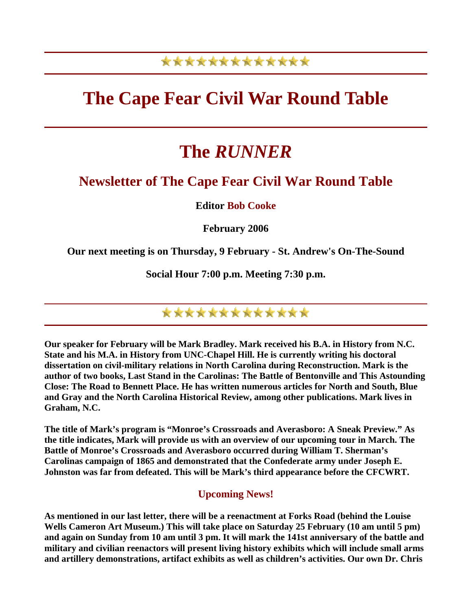## \*\*\*\*\*\*\*\*\*\*\*\*\*

## **The Cape Fear Civil War Round Table**

# **The** *RUNNER*

### **Newsletter of The Cape Fear Civil War Round Table**

**Editor Bob Cooke** 

**February 2006** 

**Our next meeting is on Thursday, 9 February - St. Andrew's On-The-Sound** 

**Social Hour 7:00 p.m. Meeting 7:30 p.m.** 

\*\*\*\*\*\*\*\*\*\*\*\*\*

**Our speaker for February will be Mark Bradley. Mark received his B.A. in History from N.C. State and his M.A. in History from UNC-Chapel Hill. He is currently writing his doctoral dissertation on civil-military relations in North Carolina during Reconstruction. Mark is the author of two books, Last Stand in the Carolinas: The Battle of Bentonville and This Astounding Close: The Road to Bennett Place. He has written numerous articles for North and South, Blue and Gray and the North Carolina Historical Review, among other publications. Mark lives in Graham, N.C.** 

**The title of Mark's program is "Monroe's Crossroads and Averasboro: A Sneak Preview." As the title indicates, Mark will provide us with an overview of our upcoming tour in March. The Battle of Monroe's Crossroads and Averasboro occurred during William T. Sherman's Carolinas campaign of 1865 and demonstrated that the Confederate army under Joseph E. Johnston was far from defeated. This will be Mark's third appearance before the CFCWRT.** 

### **Upcoming News!**

**As mentioned in our last letter, there will be a reenactment at Forks Road (behind the Louise Wells Cameron Art Museum.) This will take place on Saturday 25 February (10 am until 5 pm) and again on Sunday from 10 am until 3 pm. It will mark the 141st anniversary of the battle and military and civilian reenactors will present living history exhibits which will include small arms and artillery demonstrations, artifact exhibits as well as children's activities. Our own Dr. Chris**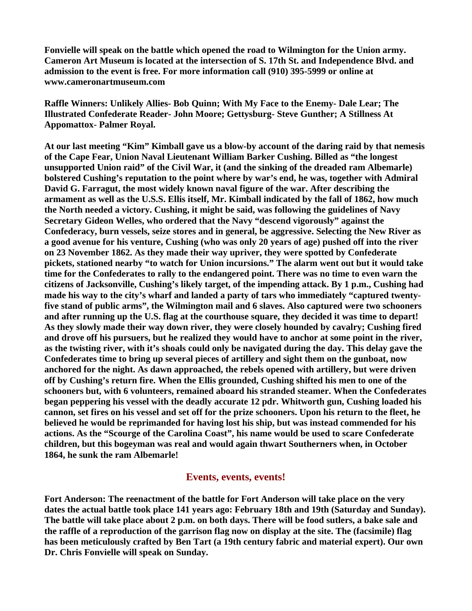**Fonvielle will speak on the battle which opened the road to Wilmington for the Union army. Cameron Art Museum is located at the intersection of S. 17th St. and Independence Blvd. and admission to the event is free. For more information call (910) 395-5999 or online at www.cameronartmuseum.com** 

**Raffle Winners: Unlikely Allies- Bob Quinn; With My Face to the Enemy- Dale Lear; The Illustrated Confederate Reader- John Moore; Gettysburg- Steve Gunther; A Stillness At Appomattox- Palmer Royal.** 

**At our last meeting "Kim" Kimball gave us a blow-by account of the daring raid by that nemesis of the Cape Fear, Union Naval Lieutenant William Barker Cushing. Billed as "the longest unsupported Union raid" of the Civil War, it (and the sinking of the dreaded ram Albemarle) bolstered Cushing's reputation to the point where by war's end, he was, together with Admiral David G. Farragut, the most widely known naval figure of the war. After describing the armament as well as the U.S.S. Ellis itself, Mr. Kimball indicated by the fall of 1862, how much the North needed a victory. Cushing, it might be said, was following the guidelines of Navy Secretary Gideon Welles, who ordered that the Navy "descend vigorously" against the Confederacy, burn vessels, seize stores and in general, be aggressive. Selecting the New River as a good avenue for his venture, Cushing (who was only 20 years of age) pushed off into the river on 23 November 1862. As they made their way upriver, they were spotted by Confederate pickets, stationed nearby "to watch for Union incursions." The alarm went out but it would take time for the Confederates to rally to the endangered point. There was no time to even warn the citizens of Jacksonville, Cushing's likely target, of the impending attack. By 1 p.m., Cushing had made his way to the city's wharf and landed a party of tars who immediately "captured twentyfive stand of public arms", the Wilmington mail and 6 slaves. Also captured were two schooners and after running up the U.S. flag at the courthouse square, they decided it was time to depart! As they slowly made their way down river, they were closely hounded by cavalry; Cushing fired and drove off his pursuers, but he realized they would have to anchor at some point in the river, as the twisting river, with it's shoals could only be navigated during the day. This delay gave the Confederates time to bring up several pieces of artillery and sight them on the gunboat, now anchored for the night. As dawn approached, the rebels opened with artillery, but were driven off by Cushing's return fire. When the Ellis grounded, Cushing shifted his men to one of the schooners but, with 6 volunteers, remained aboard his stranded steamer. When the Confederates began peppering his vessel with the deadly accurate 12 pdr. Whitworth gun, Cushing loaded his cannon, set fires on his vessel and set off for the prize schooners. Upon his return to the fleet, he believed he would be reprimanded for having lost his ship, but was instead commended for his actions. As the "Scourge of the Carolina Coast", his name would be used to scare Confederate children, but this bogeyman was real and would again thwart Southerners when, in October 1864, he sunk the ram Albemarle!** 

#### **Events, events, events!**

**Fort Anderson: The reenactment of the battle for Fort Anderson will take place on the very dates the actual battle took place 141 years ago: February 18th and 19th (Saturday and Sunday). The battle will take place about 2 p.m. on both days. There will be food sutlers, a bake sale and the raffle of a reproduction of the garrison flag now on display at the site. The (facsimile) flag has been meticulously crafted by Ben Tart (a 19th century fabric and material expert). Our own Dr. Chris Fonvielle will speak on Sunday.**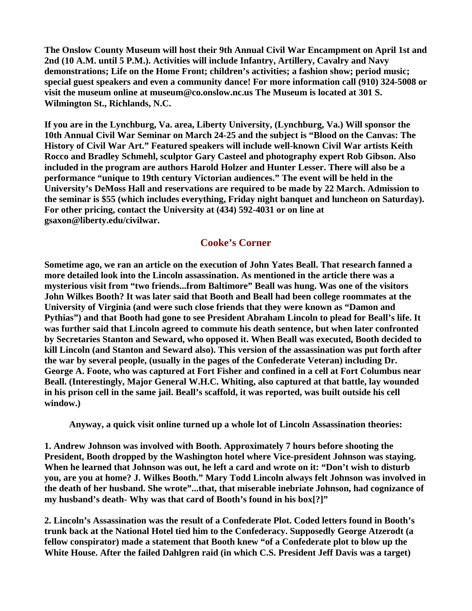**The Onslow County Museum will host their 9th Annual Civil War Encampment on April 1st and 2nd (10 A.M. until 5 P.M.). Activities will include Infantry, Artillery, Cavalry and Navy demonstrations; Life on the Home Front; children's activities; a fashion show; period music; special guest speakers and even a community dance! For more information call (910) 324-5008 or visit the museum online at museum@co.onslow.nc.us The Museum is located at 301 S. Wilmington St., Richlands, N.C.** 

**If you are in the Lynchburg, Va. area, Liberty University, (Lynchburg, Va.) Will sponsor the 10th Annual Civil War Seminar on March 24-25 and the subject is "Blood on the Canvas: The History of Civil War Art." Featured speakers will include well-known Civil War artists Keith Rocco and Bradley Schmehl, sculptor Gary Casteel and photography expert Rob Gibson. Also included in the program are authors Harold Holzer and Hunter Lesser. There will also be a performance "unique to 19th century Victorian audiences." The event will be held in the University's DeMoss Hall and reservations are required to be made by 22 March. Admission to the seminar is \$55 (which includes everything, Friday night banquet and luncheon on Saturday). For other pricing, contact the University at (434) 592-4031 or on line at gsaxon@liberty.edu/civilwar.** 

#### **Cooke's Corner**

**Sometime ago, we ran an article on the execution of John Yates Beall. That research fanned a more detailed look into the Lincoln assassination. As mentioned in the article there was a mysterious visit from "two friends...from Baltimore" Beall was hung. Was one of the visitors John Wilkes Booth? It was later said that Booth and Beall had been college roommates at the University of Virginia (and were such close friends that they were known as "Damon and Pythias") and that Booth had gone to see President Abraham Lincoln to plead for Beall's life. It was further said that Lincoln agreed to commute his death sentence, but when later confronted by Secretaries Stanton and Seward, who opposed it. When Beall was executed, Booth decided to kill Lincoln (and Stanton and Seward also). This version of the assassination was put forth after the war by several people, (usually in the pages of the Confederate Veteran) including Dr. George A. Foote, who was captured at Fort Fisher and confined in a cell at Fort Columbus near Beall. (Interestingly, Major General W.H.C. Whiting, also captured at that battle, lay wounded in his prison cell in the same jail. Beall's scaffold, it was reported, was built outside his cell window.)** 

**Anyway, a quick visit online turned up a whole lot of Lincoln Assassination theories:** 

**1. Andrew Johnson was involved with Booth. Approximately 7 hours before shooting the President, Booth dropped by the Washington hotel where Vice-president Johnson was staying. When he learned that Johnson was out, he left a card and wrote on it: "Don't wish to disturb you, are you at home? J. Wilkes Booth." Mary Todd Lincoln always felt Johnson was involved in the death of her husband. She wrote"...that, that miserable inebriate Johnson, had cognizance of my husband's death- Why was that card of Booth's found in his box[?]"** 

**2. Lincoln's Assassination was the result of a Confederate Plot. Coded letters found in Booth's trunk back at the National Hotel tied him to the Confederacy. Supposedly George Atzerodt (a fellow conspirator) made a statement that Booth knew "of a Confederate plot to blow up the White House. After the failed Dahlgren raid (in which C.S. President Jeff Davis was a target)**